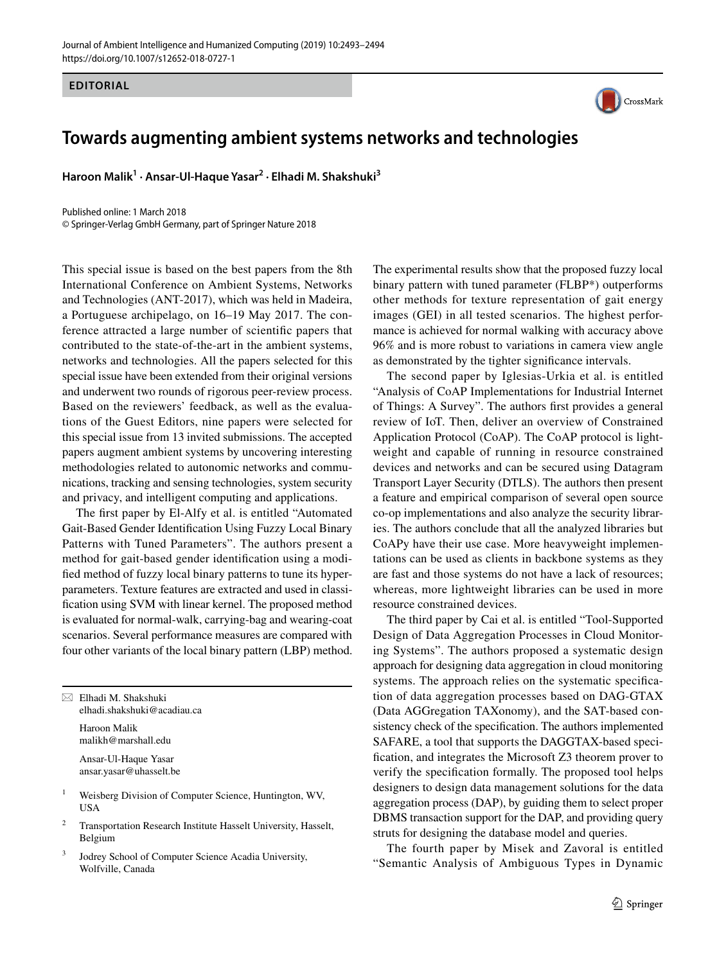

## **Towards augmenting ambient systems networks and technologies**

**Haroon Malik<sup>1</sup> · Ansar‑Ul‑Haque Yasar<sup>2</sup> · Elhadi M. Shakshuki3**

Published online: 1 March 2018 © Springer-Verlag GmbH Germany, part of Springer Nature 2018

This special issue is based on the best papers from the 8th International Conference on Ambient Systems, Networks and Technologies (ANT-2017), which was held in Madeira, a Portuguese archipelago, on 16–19 May 2017. The conference attracted a large number of scientific papers that contributed to the state-of-the-art in the ambient systems, networks and technologies. All the papers selected for this special issue have been extended from their original versions and underwent two rounds of rigorous peer-review process. Based on the reviewers' feedback, as well as the evaluations of the Guest Editors, nine papers were selected for this special issue from 13 invited submissions. The accepted papers augment ambient systems by uncovering interesting methodologies related to autonomic networks and communications, tracking and sensing technologies, system security and privacy, and intelligent computing and applications.

The first paper by El-Alfy et al. is entitled "Automated Gait-Based Gender Identification Using Fuzzy Local Binary Patterns with Tuned Parameters". The authors present a method for gait-based gender identification using a modified method of fuzzy local binary patterns to tune its hyperparameters. Texture features are extracted and used in classification using SVM with linear kernel. The proposed method is evaluated for normal-walk, carrying-bag and wearing-coat scenarios. Several performance measures are compared with four other variants of the local binary pattern (LBP) method.

 $\boxtimes$  Elhadi M. Shakshuki elhadi.shakshuki@acadiau.ca Haroon Malik

malikh@marshall.edu

Ansar-Ul-Haque Yasar ansar.yasar@uhasselt.be

- <sup>1</sup> Weisberg Division of Computer Science, Huntington, WV, USA
- <sup>2</sup> Transportation Research Institute Hasselt University, Hasselt, Belgium
- <sup>3</sup> Jodrey School of Computer Science Acadia University, Wolfville, Canada

The experimental results show that the proposed fuzzy local binary pattern with tuned parameter (FLBP\*) outperforms other methods for texture representation of gait energy images (GEI) in all tested scenarios. The highest performance is achieved for normal walking with accuracy above 96% and is more robust to variations in camera view angle as demonstrated by the tighter significance intervals.

The second paper by Iglesias-Urkia et al. is entitled "Analysis of CoAP Implementations for Industrial Internet of Things: A Survey". The authors first provides a general review of IoT. Then, deliver an overview of Constrained Application Protocol (CoAP). The CoAP protocol is lightweight and capable of running in resource constrained devices and networks and can be secured using Datagram Transport Layer Security (DTLS). The authors then present a feature and empirical comparison of several open source co-op implementations and also analyze the security libraries. The authors conclude that all the analyzed libraries but CoAPy have their use case. More heavyweight implementations can be used as clients in backbone systems as they are fast and those systems do not have a lack of resources; whereas, more lightweight libraries can be used in more resource constrained devices.

The third paper by Cai et al. is entitled "Tool-Supported Design of Data Aggregation Processes in Cloud Monitoring Systems". The authors proposed a systematic design approach for designing data aggregation in cloud monitoring systems. The approach relies on the systematic specification of data aggregation processes based on DAG-GTAX (Data AGGregation TAXonomy), and the SAT-based consistency check of the specification. The authors implemented SAFARE, a tool that supports the DAGGTAX-based specification, and integrates the Microsoft Z3 theorem prover to verify the specification formally. The proposed tool helps designers to design data management solutions for the data aggregation process (DAP), by guiding them to select proper DBMS transaction support for the DAP, and providing query struts for designing the database model and queries.

The fourth paper by Misek and Zavoral is entitled "Semantic Analysis of Ambiguous Types in Dynamic